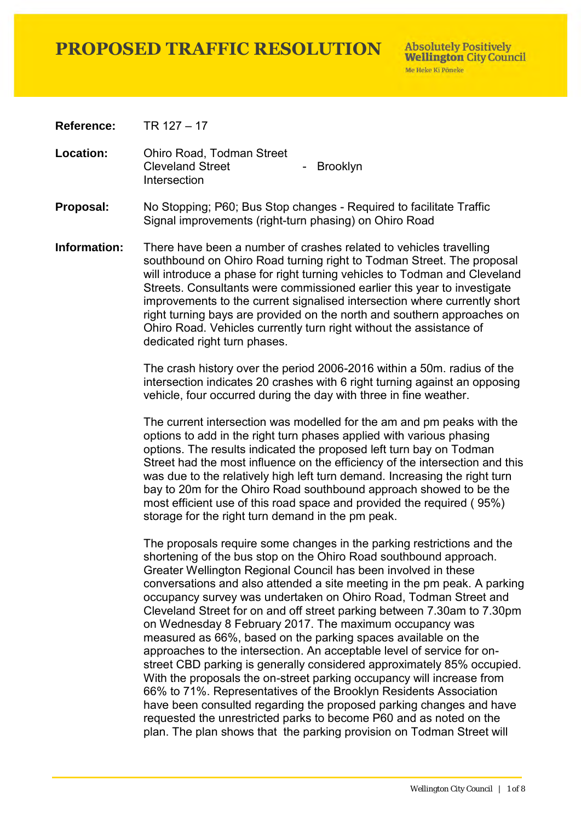**Absolutely Positively Wellington City Council** Me Heke Ki Pôneke

**Reference:** TR 127 – 17

**Location:** Ohiro Road, Todman Street Cleveland Street **Intersection** - Brooklyn

- **Proposal:** No Stopping; P60; Bus Stop changes Required to facilitate Traffic Signal improvements (right-turn phasing) on Ohiro Road
- **Information:** There have been a number of crashes related to vehicles travelling southbound on Ohiro Road turning right to Todman Street. The proposal will introduce a phase for right turning vehicles to Todman and Cleveland Streets. Consultants were commissioned earlier this year to investigate improvements to the current signalised intersection where currently short right turning bays are provided on the north and southern approaches on Ohiro Road. Vehicles currently turn right without the assistance of dedicated right turn phases.

The crash history over the period 2006-2016 within a 50m. radius of the intersection indicates 20 crashes with 6 right turning against an opposing vehicle, four occurred during the day with three in fine weather.

The current intersection was modelled for the am and pm peaks with the options to add in the right turn phases applied with various phasing options. The results indicated the proposed left turn bay on Todman Street had the most influence on the efficiency of the intersection and this was due to the relatively high left turn demand. Increasing the right turn bay to 20m for the Ohiro Road southbound approach showed to be the most efficient use of this road space and provided the required ( 95%) storage for the right turn demand in the pm peak.

The proposals require some changes in the parking restrictions and the shortening of the bus stop on the Ohiro Road southbound approach. Greater Wellington Regional Council has been involved in these conversations and also attended a site meeting in the pm peak. A parking occupancy survey was undertaken on Ohiro Road, Todman Street and Cleveland Street for on and off street parking between 7.30am to 7.30pm on Wednesday 8 February 2017. The maximum occupancy was measured as 66%, based on the parking spaces available on the approaches to the intersection. An acceptable level of service for onstreet CBD parking is generally considered approximately 85% occupied. With the proposals the on-street parking occupancy will increase from 66% to 71%. Representatives of the Brooklyn Residents Association have been consulted regarding the proposed parking changes and have requested the unrestricted parks to become P60 and as noted on the plan. The plan shows that the parking provision on Todman Street will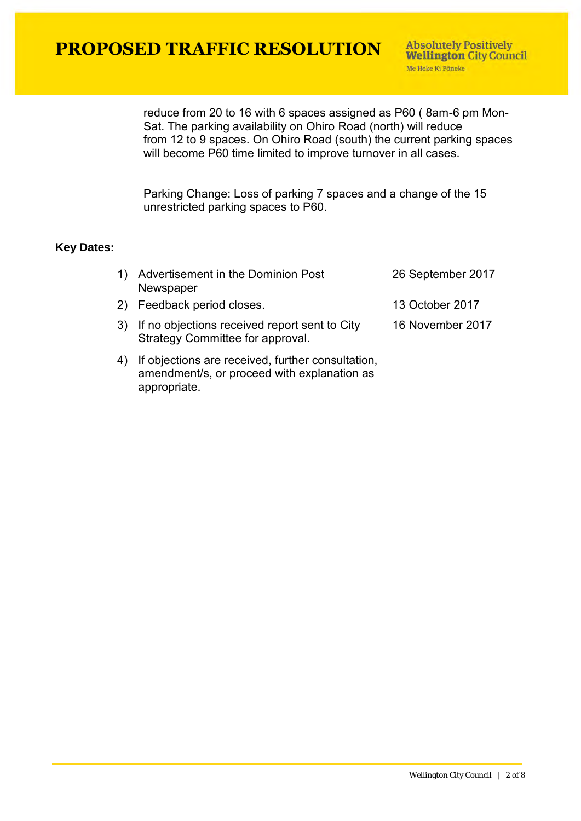reduce from 20 to 16 with 6 spaces assigned as P60 ( 8am-6 pm Mon-Sat. The parking availability on Ohiro Road (north) will reduce from 12 to 9 spaces. On Ohiro Road (south) the current parking spaces will become P60 time limited to improve turnover in all cases.

Parking Change: Loss of parking 7 spaces and a change of the 15 unrestricted parking spaces to P60.

#### **Key Dates:**

| 1) Advertisement in the Dominion Post<br>Newspaper                                   | 26 September 2017 |
|--------------------------------------------------------------------------------------|-------------------|
| 2) Feedback period closes.                                                           | 13 October 2017   |
| 3) If no objections received report sent to City<br>Strategy Committee for approval. | 16 November 2017  |
| A) If abinationa are resoluted further conquitation                                  |                   |

4) If objections are received, further consultation, amendment/s, or proceed with explanation as appropriate.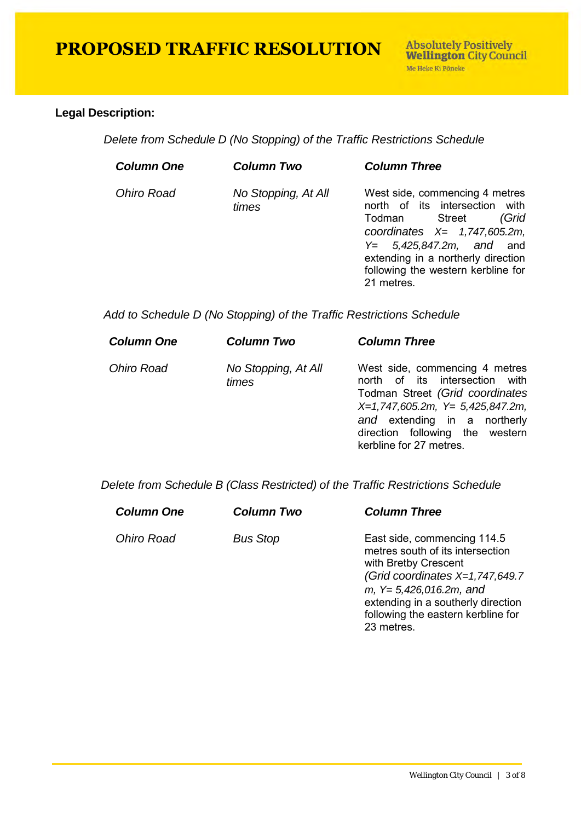#### **Legal Description:**

*Delete from Schedule D (No Stopping) of the Traffic Restrictions Schedule* 

| <b>Column One</b> | Column Two                   | <b>Column Three</b>                                                                                                                                                                                                                                         |
|-------------------|------------------------------|-------------------------------------------------------------------------------------------------------------------------------------------------------------------------------------------------------------------------------------------------------------|
| <b>Ohiro Road</b> | No Stopping, At All<br>times | West side, commencing 4 metres<br>north of its intersection<br>with<br>(Grid<br>Todman Street<br>coordinates $X = 1,747,605.2m$ ,<br>$Y = 5,425,847.2m$ , and and<br>extending in a northerly direction<br>following the western kerbline for<br>21 metres. |

*Add to Schedule D (No Stopping) of the Traffic Restrictions Schedule* 

| West side, commencing 4 metres<br>north of its intersection with<br>Todman Street (Grid coordinates<br>$X=1,747,605.2m$ , $Y=5,425,847.2m$ ,<br>and extending in a northerly<br>direction following the western<br>kerbline for 27 metres. |
|--------------------------------------------------------------------------------------------------------------------------------------------------------------------------------------------------------------------------------------------|
|                                                                                                                                                                                                                                            |

 *Delete from Schedule B (Class Restricted) of the Traffic Restrictions Schedule* 

| <b>Column One</b> | <b>Column Two</b> | <b>Column Three</b>                                                                                                                                                                                                                                 |
|-------------------|-------------------|-----------------------------------------------------------------------------------------------------------------------------------------------------------------------------------------------------------------------------------------------------|
| <b>Ohiro Road</b> | <b>Bus Stop</b>   | East side, commencing 114.5<br>metres south of its intersection<br>with Bretby Crescent<br>(Grid coordinates $X=1,747,649.7$<br>$m, Y= 5,426,016.2m,$ and<br>extending in a southerly direction<br>following the eastern kerbline for<br>23 metres. |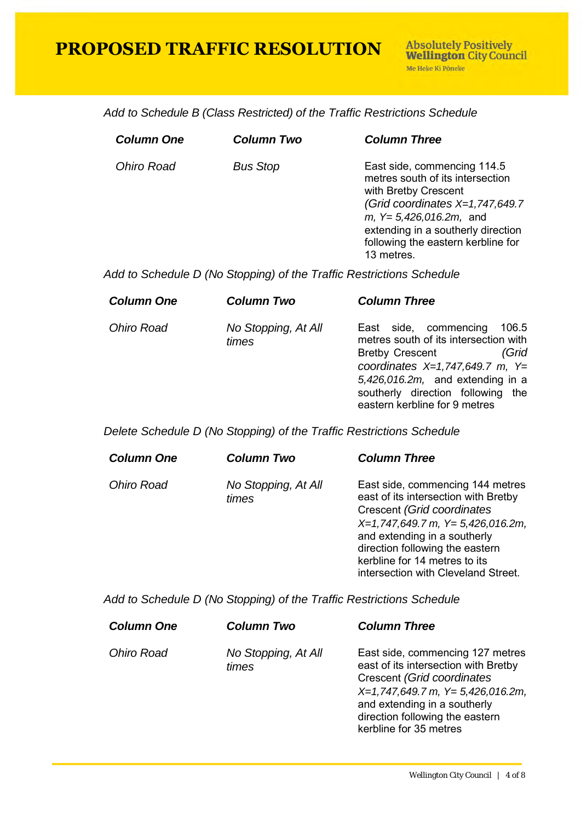*Add to Schedule B (Class Restricted) of the Traffic Restrictions Schedule* 

| <b>Column One</b> | <b>Column Two</b> | <b>Column Three</b>                                                                                                                                                                                                                                |
|-------------------|-------------------|----------------------------------------------------------------------------------------------------------------------------------------------------------------------------------------------------------------------------------------------------|
| <b>Ohiro Road</b> | <b>Bus Stop</b>   | East side, commencing 114.5<br>metres south of its intersection<br>with Bretby Crescent<br>(Grid coordinates $X=1,747,649.7$<br>$m, Y=5,426,016.2m,$ and<br>extending in a southerly direction<br>following the eastern kerbline for<br>13 metres. |

*Add to Schedule D (No Stopping) of the Traffic Restrictions Schedule* 

| <b>Column One</b> | <b>Column Two</b>            | <b>Column Three</b>                                                                                                                                                                                                                                          |
|-------------------|------------------------------|--------------------------------------------------------------------------------------------------------------------------------------------------------------------------------------------------------------------------------------------------------------|
| <b>Ohiro Road</b> | No Stopping, At All<br>times | East side, commencing<br>106.5<br>metres south of its intersection with<br>(Grid<br><b>Bretby Crescent</b><br>coordinates $X=1,747,649.7$ m, Y=<br>$5,426,016.2m$ , and extending in a<br>southerly direction following the<br>eastern kerbline for 9 metres |
|                   |                              |                                                                                                                                                                                                                                                              |

*Delete Schedule D (No Stopping) of the Traffic Restrictions Schedule* 

| <b>Column One</b> | Column Two                   | <b>Column Three</b>                                                                                                                                                                                                                                                                        |
|-------------------|------------------------------|--------------------------------------------------------------------------------------------------------------------------------------------------------------------------------------------------------------------------------------------------------------------------------------------|
| <b>Ohiro Road</b> | No Stopping, At All<br>times | East side, commencing 144 metres<br>east of its intersection with Bretby<br>Crescent (Grid coordinates<br>$X=1,747,649.7$ m, $Y=5,426,016.2$ m,<br>and extending in a southerly<br>direction following the eastern<br>kerbline for 14 metres to its<br>intersection with Cleveland Street. |

*Add to Schedule D (No Stopping) of the Traffic Restrictions Schedule* 

| <b>Column One</b> | <b>Column Two</b>            | <b>Column Three</b>                                                                                                                                                                                                                          |
|-------------------|------------------------------|----------------------------------------------------------------------------------------------------------------------------------------------------------------------------------------------------------------------------------------------|
| <b>Ohiro Road</b> | No Stopping, At All<br>times | East side, commencing 127 metres<br>east of its intersection with Bretby<br>Crescent (Grid coordinates<br>$X=1,747,649.7$ m, $Y=5,426,016.2$ m,<br>and extending in a southerly<br>direction following the eastern<br>kerbline for 35 metres |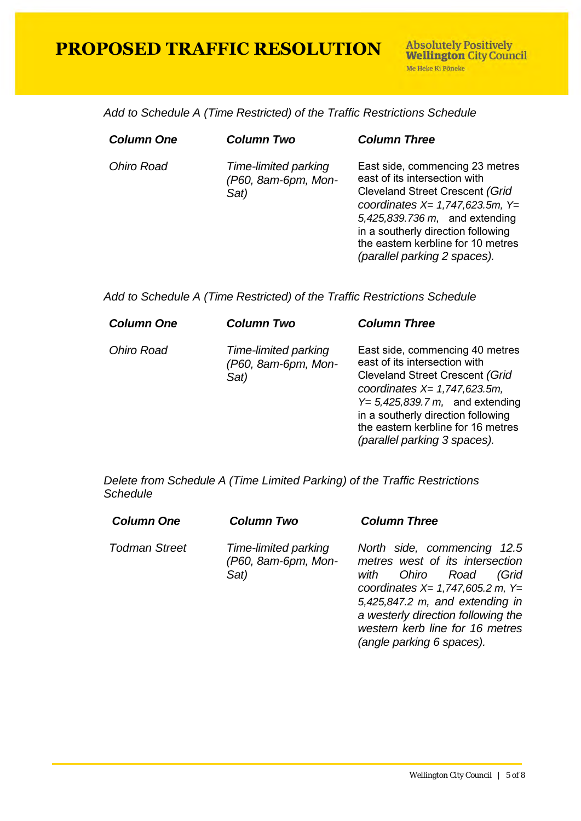*Add to Schedule A (Time Restricted) of the Traffic Restrictions Schedule* 

| <b>Column One</b> | <b>Column Two</b>                                   | <b>Column Three</b>                                                                                                                                                                                                                                                                                |
|-------------------|-----------------------------------------------------|----------------------------------------------------------------------------------------------------------------------------------------------------------------------------------------------------------------------------------------------------------------------------------------------------|
| Ohiro Road        | Time-limited parking<br>(P60, 8am-6pm, Mon-<br>Sat) | East side, commencing 23 metres<br>east of its intersection with<br><b>Cleveland Street Crescent (Grid</b><br>coordinates $X = 1,747,623.5m$ , $Y =$<br>5,425,839.736 m, and extending<br>in a southerly direction following<br>the eastern kerbline for 10 metres<br>(parallel parking 2 spaces). |

*Add to Schedule A (Time Restricted) of the Traffic Restrictions Schedule* 

| <b>Column One</b> | <b>Column Two</b>                                   | <b>Column Three</b>                                                                                                                                                                                                                                                                             |
|-------------------|-----------------------------------------------------|-------------------------------------------------------------------------------------------------------------------------------------------------------------------------------------------------------------------------------------------------------------------------------------------------|
| Ohiro Road        | Time-limited parking<br>(P60, 8am-6pm, Mon-<br>Sat) | East side, commencing 40 metres<br>east of its intersection with<br><b>Cleveland Street Crescent (Grid</b><br>coordinates $X = 1,747,623.5m$ ,<br>$Y=5,425,839.7 m$ , and extending<br>in a southerly direction following<br>the eastern kerbline for 16 metres<br>(parallel parking 3 spaces). |

*Delete from Schedule A (Time Limited Parking) of the Traffic Restrictions Schedule* 

| <b>Column One</b>    | <b>Column Two</b>                                   | <b>Column Three</b>                                                                                                                                                                                                                                                              |
|----------------------|-----------------------------------------------------|----------------------------------------------------------------------------------------------------------------------------------------------------------------------------------------------------------------------------------------------------------------------------------|
| <b>Todman Street</b> | Time-limited parking<br>(P60, 8am-6pm, Mon-<br>Sat) | North side, commencing 12.5<br>metres west of its intersection<br>Ohiro Road<br>(Grid<br>with<br>coordinates $X = 1,747,605.2$ m, $Y =$<br>5,425,847.2 m, and extending in<br>a westerly direction following the<br>western kerb line for 16 metres<br>(angle parking 6 spaces). |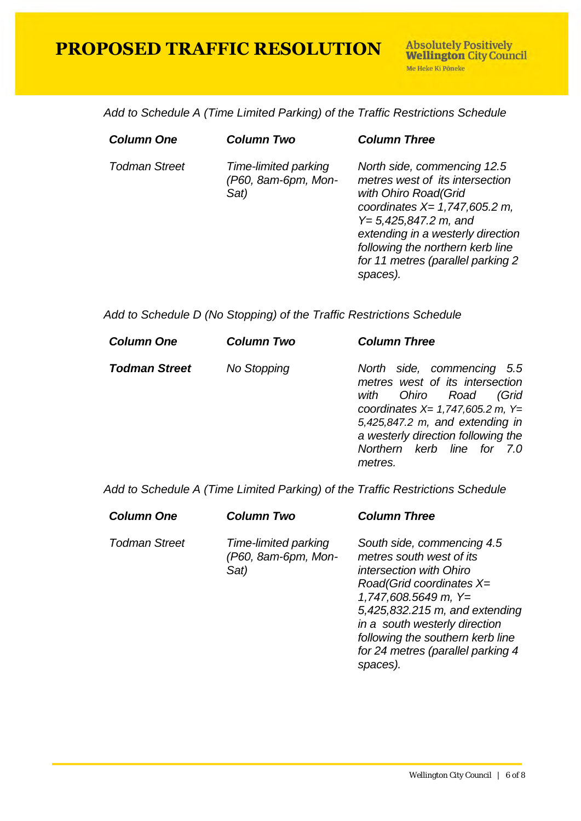*Add to Schedule A (Time Limited Parking) of the Traffic Restrictions Schedule* 

| <b>Column One</b>    | <b>Column Two</b>                                   | <b>Column Three</b>                                                                                                                                                                                                                                                               |
|----------------------|-----------------------------------------------------|-----------------------------------------------------------------------------------------------------------------------------------------------------------------------------------------------------------------------------------------------------------------------------------|
| <b>Todman Street</b> | Time-limited parking<br>(P60, 8am-6pm, Mon-<br>Sat) | North side, commencing 12.5<br>metres west of its intersection<br>with Ohiro Road (Grid<br>coordinates $X = 1,747,605.2$ m,<br>$Y = 5,425,847.2$ m, and<br>extending in a westerly direction<br>following the northern kerb line<br>for 11 metres (parallel parking 2<br>spaces). |
|                      |                                                     |                                                                                                                                                                                                                                                                                   |

*Add to Schedule D (No Stopping) of the Traffic Restrictions Schedule* 

| <b>Column One</b>    | <b>Column Two</b>  | <b>Column Three</b>                                                                                                                                                                                                                                      |
|----------------------|--------------------|----------------------------------------------------------------------------------------------------------------------------------------------------------------------------------------------------------------------------------------------------------|
| <b>Todman Street</b> | <b>No Stopping</b> | North side, commencing 5.5<br>metres west of its intersection<br>Ohiro Road<br>(Grid<br>with<br>coordinates $X = 1,747,605.2$ m, $Y =$<br>5,425,847.2 m, and extending in<br>a westerly direction following the<br>Northern kerb line for 7.0<br>metres. |

*Add to Schedule A (Time Limited Parking) of the Traffic Restrictions Schedule* 

| <b>Column One</b>    | <b>Column Two</b>                                   | <b>Column Three</b>                                                                                                                                                                                                                                                                               |
|----------------------|-----------------------------------------------------|---------------------------------------------------------------------------------------------------------------------------------------------------------------------------------------------------------------------------------------------------------------------------------------------------|
| <b>Todman Street</b> | Time-limited parking<br>(P60, 8am-6pm, Mon-<br>Sat) | South side, commencing 4.5<br>metres south west of its<br>intersection with Ohiro<br>$Read(Grid coordinates X=$<br>$1,747,608.5649$ m, Y=<br>5,425,832.215 m, and extending<br>in a south westerly direction<br>following the southern kerb line<br>for 24 metres (parallel parking 4<br>spaces). |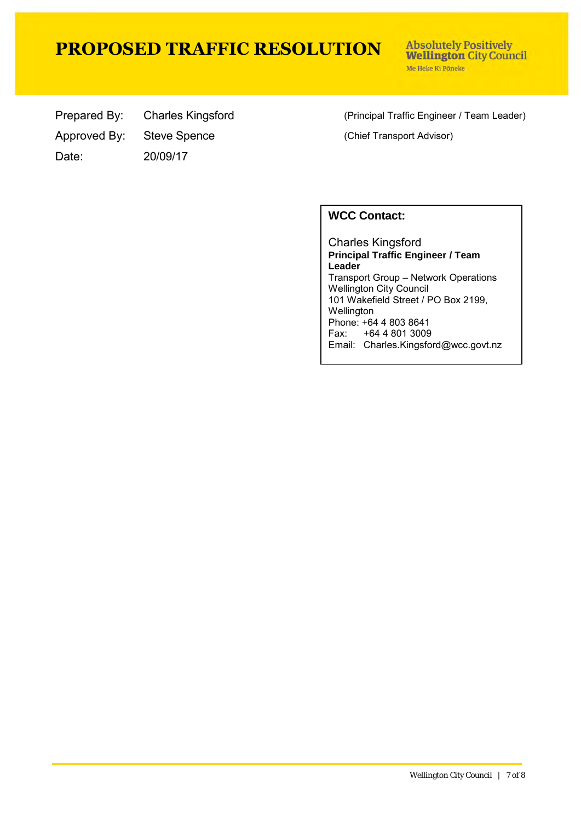**Absolutely Positively Wellington City Council** Me Heke Ki Põneke

Approved By: Steve Spence (Chief Transport Advisor) Date: 20/09/17

Prepared By: Charles Kingsford (Principal Traffic Engineer / Team Leader)

#### **WCC Contact:**

Charles Kingsford **Principal Traffic Engineer / Team Leader** Transport Group – Network Operations Wellington City Council 101 Wakefield Street / PO Box 2199, **Wellington** Phone: +64 4 803 8641 Fax: +64 4 801 3009 Email: Charles.Kingsford@wcc.govt.nz